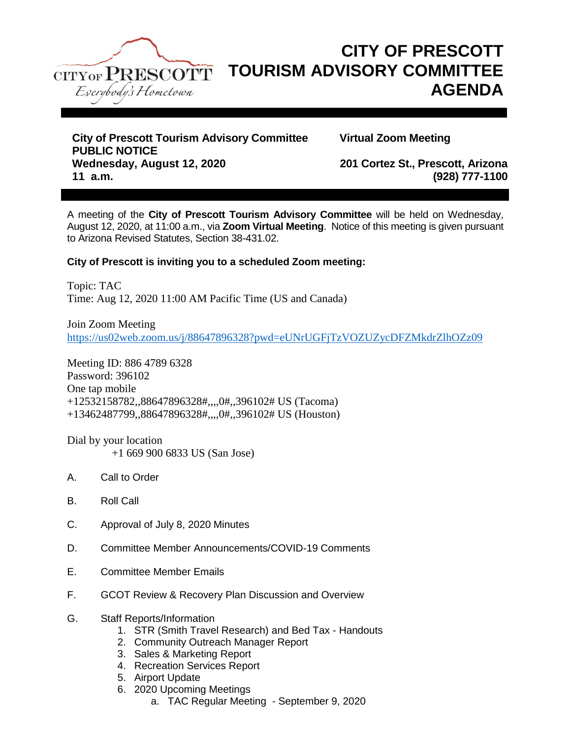

# **CITY OF PRESCOTT TOURISM ADVISORY COMMITTEE AGENDA**

**City of Prescott Tourism Advisory Committee Virtual Zoom Meeting PUBLIC NOTICE Wednesday, August 12, 2020 201 Cortez St., Prescott, Arizona 11 a.m. (928) 777-1100**

A meeting of the **City of Prescott Tourism Advisory Committee** will be held on Wednesday, August 12, 2020, at 11:00 a.m., via **Zoom Virtual Meeting**. Notice of this meeting is given pursuant to Arizona Revised Statutes, Section 38-431.02.

## **City of Prescott is inviting you to a scheduled Zoom meeting:**

Topic: TAC Time: Aug 12, 2020 11:00 AM Pacific Time (US and Canada)

Join Zoom Meeting <https://us02web.zoom.us/j/88647896328?pwd=eUNrUGFjTzVOZUZycDFZMkdrZlhOZz09>

Meeting ID: 886 4789 6328 Password: 396102 One tap mobile +12532158782,,88647896328#,,,,0#,,396102# US (Tacoma) +13462487799,,88647896328#,,,,0#,,396102# US (Houston)

Dial by your location +1 669 900 6833 US (San Jose)

- A. Call to Order
- B. Roll Call
- C. Approval of July 8, 2020 Minutes
- D. Committee Member Announcements/COVID-19 Comments
- E. Committee Member Emails
- F. GCOT Review & Recovery Plan Discussion and Overview
- G. Staff Reports/Information
	- 1. STR (Smith Travel Research) and Bed Tax Handouts
	- 2. Community Outreach Manager Report
	- 3. Sales & Marketing Report
	- 4. Recreation Services Report
	- 5. Airport Update
	- 6. 2020 Upcoming Meetings
		- a. TAC Regular Meeting September 9, 2020